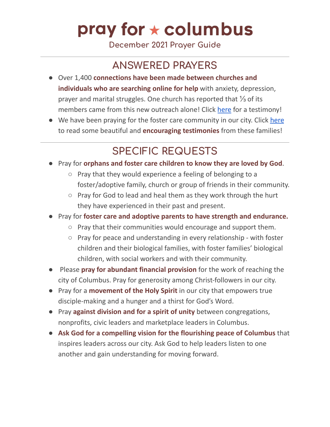# pray for  $\star$  columbus

**December 2021 Prayer Guide**

#### **ANSWERED PRAYERS**

- Over 1,400 **connections have been made between churches and individuals who are searching online for help** with anxiety, depression, prayer and marital struggles. One church has reported that ⅓ of its members came from this new outreach alone! Click [here](https://www.youtube.com/watch?v=e1mNykNYDZE) for a testimony!
- We have been praying for the foster care community in our city. Click [here](https://docs.google.com/document/d/1k4X8P3fPrH9Hc43yg2ct-CB-xTGJBzBmGdlKiEFdTpQ/edit?usp=sharing) to read some beautiful and **encouraging testimonies** from these families!

#### **SPECIFIC REQUESTS**

- Pray for **orphans and foster care children to know they are loved by God**.
	- Pray that they would experience a feeling of belonging to a foster/adoptive family, church or group of friends in their community.
	- Pray for God to lead and heal them as they work through the hurt they have experienced in their past and present.
- Pray for **foster care and adoptive parents to have strength and endurance.**
	- Pray that their communities would encourage and support them.
	- Pray for peace and understanding in every relationship with foster children and their biological families, with foster families' biological children, with social workers and with their community.
- Please **pray for abundant financial provision** for the work of reaching the city of Columbus. Pray for generosity among Christ-followers in our city.
- Pray for a **movement of the Holy Spirit** in our city that empowers true disciple-making and a hunger and a thirst for God's Word.
- Pray **against division and for a spirit of unity** between congregations, nonprofits, civic leaders and marketplace leaders in Columbus.
- **Ask God for a compelling vision for the flourishing peace of Columbus** that inspires leaders across our city. Ask God to help leaders listen to one another and gain understanding for moving forward.